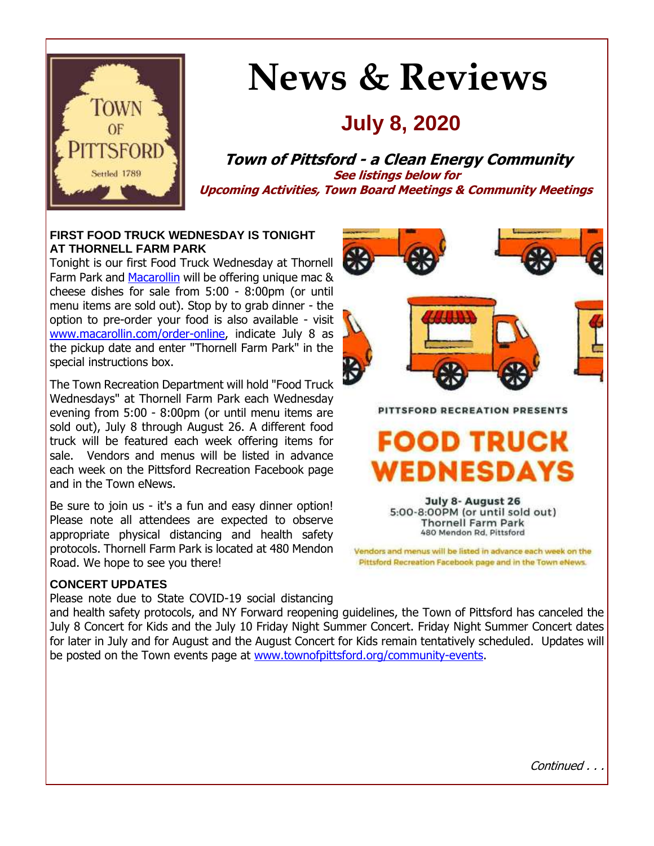

# **News & Reviews**

## **July 8, 2020**

**Town of Pittsford - a Clean Energy Community See listings below for Upcoming Activities, Town Board Meetings & Community Meetings**

#### **FIRST FOOD TRUCK WEDNESDAY IS TONIGHT AT THORNELL FARM PARK**

Tonight is our first Food Truck Wednesday at Thornell Farm Park and [Macarollin](http://r20.rs6.net/tn.jsp?f=001Ujmyb5sOMg2FGHcWFeMV83xy0DiHNrfabpxU0w-cGW7xUhAmguhRk-wMOqS5ysnXm_pkxXrSxil_lvbRcyvGHgpR9Q5iqt5HGeIJJ5xpv--x_1_A48WPb9ynjhYKXjttbpryyMMHw24cPLExX-J4lkGOAAfr_g92X28Kj3EcKarsRKc0CmN38U2MPynuKj5RdhWivaIWgvzysElIQ1EEK_27ESJVu_dp_UG-1GiobFRbnyMEd5YRhTHJIlu2Y3qnElnMm9WsZqJ9VLuCEB5uF5eaTbu50drs&c=y_U08mxmA3wN0r8YBN-z6yUSraBgdtKFlawO4Ui14HvSv7V6Yv2n-w==&ch=iVlI5nzKryrluPflpuEl7wwH1OXcJHKwEteVPfXQr4sbQycmtqhBFw==) will be offering unique mac & cheese dishes for sale from 5:00 - 8:00pm (or until menu items are sold out). Stop by to grab dinner - the option to pre-order your food is also available - visit [www.macarollin.com/order-online,](http://r20.rs6.net/tn.jsp?f=001Ujmyb5sOMg2FGHcWFeMV83xy0DiHNrfabpxU0w-cGW7xUhAmguhRk-wMOqS5ysnXJ7qvpcLMWzSxufkTDN4PyA5ch7IwICwphvsYav8tqEgc7qScpumiKBGSCGKTIBEsHy_uBA6Tce8U6A_kA7gkOOfRksdw0FD30i0144-YvKpAwSlLy95q0YFUTyv1W_70EcMz9xMLUMnniiRJQ_DNIZEk3OoY3J1JHCplbyg9BAKGEKoovth9X2T9XOG55HBMEo6lsYu9jSX7EC18U9gX2ztAGrKvA_NikD5zC-v5Upzv3ewo9mjQfw==&c=y_U08mxmA3wN0r8YBN-z6yUSraBgdtKFlawO4Ui14HvSv7V6Yv2n-w==&ch=iVlI5nzKryrluPflpuEl7wwH1OXcJHKwEteVPfXQr4sbQycmtqhBFw==) indicate July 8 as the pickup date and enter "Thornell Farm Park" in the special instructions box.

The Town Recreation Department will hold "Food Truck Wednesdays" at Thornell Farm Park each Wednesday evening from 5:00 - 8:00pm (or until menu items are sold out), July 8 through August 26. A different food truck will be featured each week offering items for sale. Vendors and menus will be listed in advance each week on the Pittsford Recreation Facebook page and in the Town eNews.

Be sure to join us - it's a fun and easy dinner option! Please note all attendees are expected to observe appropriate physical distancing and health safety protocols. Thornell Farm Park is located at 480 Mendon Road. We hope to see you there!

#### **CONCERT UPDATES**

Please note due to State COVID-19 social distancing

and health safety protocols, and NY Forward reopening guidelines, the Town of Pittsford has canceled the July 8 Concert for Kids and the July 10 Friday Night Summer Concert. Friday Night Summer Concert dates for later in July and for August and the August Concert for Kids remain tentatively scheduled. Updates will be posted on the Town events page at [www.townofpittsford.org/community-events.](http://r20.rs6.net/tn.jsp?f=001Ujmyb5sOMg2FGHcWFeMV83xy0DiHNrfabpxU0w-cGW7xUhAmguhRk5xOH-Zww2DMZtX5t22dGcy-B_VO2OGro9tOa4nU7Il6ZVpbgBPG3ByfBdw6Z5bd2CGruaTLU3V05vDnDX-Vi1NBI52_KGo1l90s8-dplGLDgZQ5m8AfJSU_Lz9qM_sIqSyy_lHITsZpBKjMmhIzDY-X_BEYlwgw9DdFErZHuVOxtsNaBiVQFhPNePnyCClLrSmRkurMcZWkFiBjyBL-UYeAJG103MHZ_Ubqm8kdejMdtzc6DyAJanP2ZOzNI1T3KYiK1r3DkWVV&c=y_U08mxmA3wN0r8YBN-z6yUSraBgdtKFlawO4Ui14HvSv7V6Yv2n-w==&ch=iVlI5nzKryrluPflpuEl7wwH1OXcJHKwEteVPfXQr4sbQycmtqhBFw==)



## FOOD TRUCK EDNESDAYS

July 8- August 26 5:00-8:00PM (or until sold out) **Thornell Farm Park** 480 Mendon Rd, Pittsford

Vendors and menus will be listed in advance each week on the Pittsford Recreation Facebook page and in the Town eNews.

Continued . . .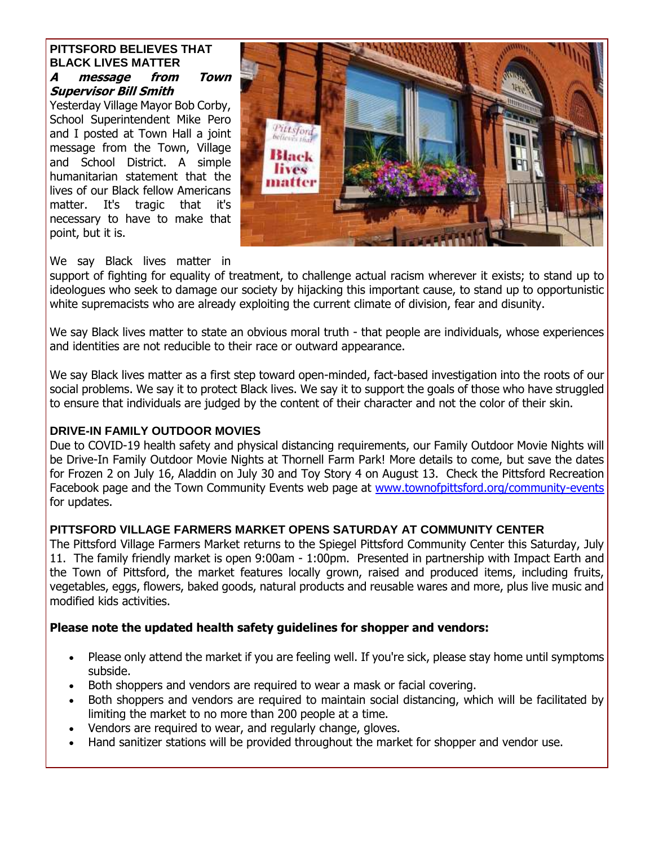#### **PITTSFORD BELIEVES THAT BLACK LIVES MATTER A message from Town**

## **Supervisor Bill Smith**

Yesterday Village Mayor Bob Corby, School Superintendent Mike Pero and I posted at Town Hall a joint message from the Town, Village and School District. A simple humanitarian statement that the lives of our Black fellow Americans matter. It's tragic that it's necessary to have to make that point, but it is.



We say Black lives matter in

support of fighting for equality of treatment, to challenge actual racism wherever it exists; to stand up to ideologues who seek to damage our society by hijacking this important cause, to stand up to opportunistic white supremacists who are already exploiting the current climate of division, fear and disunity.

We say Black lives matter to state an obvious moral truth - that people are individuals, whose experiences and identities are not reducible to their race or outward appearance.

We say Black lives matter as a first step toward open-minded, fact-based investigation into the roots of our social problems. We say it to protect Black lives. We say it to support the goals of those who have struggled to ensure that individuals are judged by the content of their character and not the color of their skin.

#### **DRIVE-IN FAMILY OUTDOOR MOVIES**

Due to COVID-19 health safety and physical distancing requirements, our Family Outdoor Movie Nights will be Drive-In Family Outdoor Movie Nights at Thornell Farm Park! More details to come, but save the dates for Frozen 2 on July 16, Aladdin on July 30 and Toy Story 4 on August 13. Check the Pittsford Recreation Facebook page and the Town Community Events web page at [www.townofpittsford.org/community-events](http://r20.rs6.net/tn.jsp?f=001Ujmyb5sOMg2FGHcWFeMV83xy0DiHNrfabpxU0w-cGW7xUhAmguhRk5xOH-Zww2DMZtX5t22dGcy-B_VO2OGro9tOa4nU7Il6ZVpbgBPG3ByfBdw6Z5bd2CGruaTLU3V05vDnDX-Vi1NBI52_KGo1l90s8-dplGLDgZQ5m8AfJSU_Lz9qM_sIqSyy_lHITsZpBKjMmhIzDY-X_BEYlwgw9DdFErZHuVOxtsNaBiVQFhPNePnyCClLrSmRkurMcZWkFiBjyBL-UYeAJG103MHZ_Ubqm8kdejMdtzc6DyAJanP2ZOzNI1T3KYiK1r3DkWVV&c=y_U08mxmA3wN0r8YBN-z6yUSraBgdtKFlawO4Ui14HvSv7V6Yv2n-w==&ch=iVlI5nzKryrluPflpuEl7wwH1OXcJHKwEteVPfXQr4sbQycmtqhBFw==) for updates.

#### **PITTSFORD VILLAGE FARMERS MARKET OPENS SATURDAY AT COMMUNITY CENTER**

The Pittsford Village Farmers Market returns to the Spiegel Pittsford Community Center this Saturday, July 11. The family friendly market is open 9:00am - 1:00pm. Presented in partnership with Impact Earth and the Town of Pittsford, the market features locally grown, raised and produced items, including fruits, vegetables, eggs, flowers, baked goods, natural products and reusable wares and more, plus live music and modified kids activities.

#### **Please note the updated health safety guidelines for shopper and vendors:**

- Please only attend the market if you are feeling well. If you're sick, please stay home until symptoms subside.
- Both shoppers and vendors are required to wear a mask or facial covering.
- Both shoppers and vendors are required to maintain social distancing, which will be facilitated by limiting the market to no more than 200 people at a time.
- Vendors are required to wear, and regularly change, gloves.
- Hand sanitizer stations will be provided throughout the market for shopper and vendor use.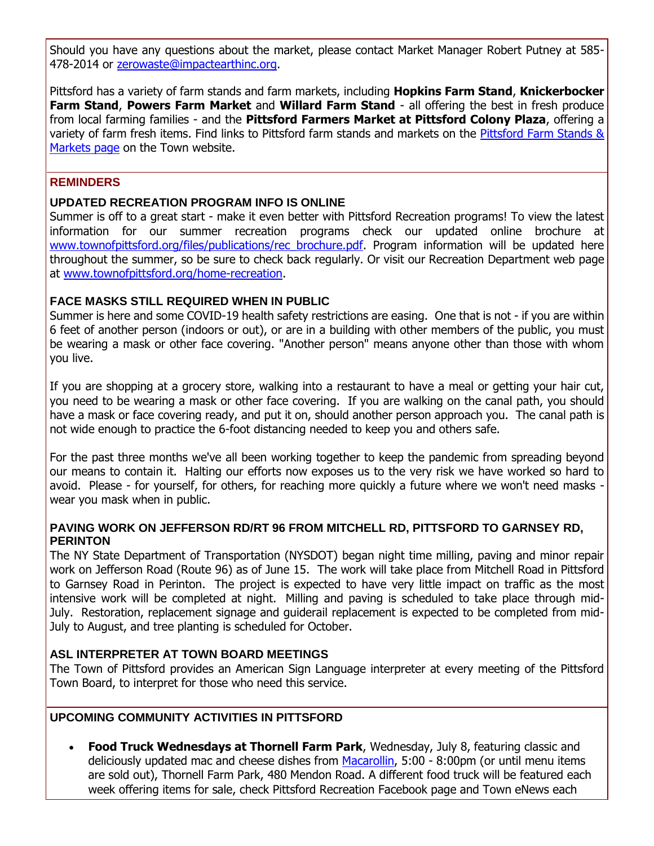Should you have any questions about the market, please contact Market Manager Robert Putney at 585- 478-2014 or [zerowaste@impactearthinc.org.](mailto:zerowaste@impactearthinc.org)

Pittsford has a variety of farm stands and farm markets, including **Hopkins Farm Stand**, **Knickerbocker Farm Stand**, **Powers Farm Market** and **Willard Farm Stand** - all offering the best in fresh produce from local farming families - and the **Pittsford Farmers Market at Pittsford Colony Plaza**, offering a variety of farm fresh items. Find links to Pittsford farm stands and markets on the [Pittsford Farm Stands](http://r20.rs6.net/tn.jsp?f=001Ujmyb5sOMg2FGHcWFeMV83xy0DiHNrfabpxU0w-cGW7xUhAmguhRk6PMSweJh0TwjA915MPPBDFGudOnxoktR3rZE5rSadKKLhO3PhHlWuXV-wQhO1P7Vb560ootRaEwRZ01a9Yi7cc6B-OlUu7u3PYnXlX7_1c-721j4OSAWkIyEtSbCdltD876jyOjgjQPz8ykbYeZHnHw6QVETGSCBlkzOUVPeYgWmLFvRdL_BQrvRmBk_p6eEjCvWJbiGmR5NMnC6HTpBjgf1AlLLwArVc4KIDrM2_Lhy4QPjfaIZb3X6MMhCwXzBg==&c=y_U08mxmA3wN0r8YBN-z6yUSraBgdtKFlawO4Ui14HvSv7V6Yv2n-w==&ch=iVlI5nzKryrluPflpuEl7wwH1OXcJHKwEteVPfXQr4sbQycmtqhBFw==) & [Markets page](http://r20.rs6.net/tn.jsp?f=001Ujmyb5sOMg2FGHcWFeMV83xy0DiHNrfabpxU0w-cGW7xUhAmguhRk6PMSweJh0TwjA915MPPBDFGudOnxoktR3rZE5rSadKKLhO3PhHlWuXV-wQhO1P7Vb560ootRaEwRZ01a9Yi7cc6B-OlUu7u3PYnXlX7_1c-721j4OSAWkIyEtSbCdltD876jyOjgjQPz8ykbYeZHnHw6QVETGSCBlkzOUVPeYgWmLFvRdL_BQrvRmBk_p6eEjCvWJbiGmR5NMnC6HTpBjgf1AlLLwArVc4KIDrM2_Lhy4QPjfaIZb3X6MMhCwXzBg==&c=y_U08mxmA3wN0r8YBN-z6yUSraBgdtKFlawO4Ui14HvSv7V6Yv2n-w==&ch=iVlI5nzKryrluPflpuEl7wwH1OXcJHKwEteVPfXQr4sbQycmtqhBFw==) on the Town website.

#### **REMINDERS**

#### **UPDATED RECREATION PROGRAM INFO IS ONLINE**

Summer is off to a great start - make it even better with Pittsford Recreation programs! To view the latest information for our summer recreation programs check our updated online brochure at [www.townofpittsford.org/files/publications/rec\\_brochure.pdf.](http://r20.rs6.net/tn.jsp?f=001Ujmyb5sOMg2FGHcWFeMV83xy0DiHNrfabpxU0w-cGW7xUhAmguhRk6hLhmuuEL9gs66hHexxTdH72i5vRiJiTzru55TSYAW4fSmrsl6DywaZ_3iTdAAW_9LH84e6Tu_7NzGJg8KpioxV1gDKCT91DexqNHbmx5zfAFxJPE3dRhNc-CN9mLdRTEsCUQ4RIfE4TmnIcziYFn8J97FF1V8IJ_3UqOHpkFS8PFaNqJHQFbI5yV2tpOhayjC94dCENY9Dx1p5iexRGs9e6qFsdKEivflR4Vun-2_f6YdN-YudZcmSVrcEG-lt2qSk_g42LIZJrKSW6BYe5Jr7K2ImJfMUkGsiNX_TlTNv&c=y_U08mxmA3wN0r8YBN-z6yUSraBgdtKFlawO4Ui14HvSv7V6Yv2n-w==&ch=iVlI5nzKryrluPflpuEl7wwH1OXcJHKwEteVPfXQr4sbQycmtqhBFw==) Program information will be updated here throughout the summer, so be sure to check back regularly. Or visit our Recreation Department web page at [www.townofpittsford.org/home-recreation.](http://r20.rs6.net/tn.jsp?f=001Ujmyb5sOMg2FGHcWFeMV83xy0DiHNrfabpxU0w-cGW7xUhAmguhRk4-pnNCaukF1d8DBGXHX3NkHDBAKItErICPllIRXOsqX-gKwGNHPS8UFI-S1_gXibF1q-fmi-87Qy-fXAztbGUs_6e9pfEfL5yMYXnMs_7-b0KYy9VPO7IHghMPqT_qOKjvCzyy_0iUaNwCS_h17bl1eVZPqneljV6lJNGyHDFKhfUDHOy8rAetTZVX-fa5kjge8GG4Cyrp7KOaUeXU67aVi_Lp5i5xn8KSPw2jT99cfjeEYb_jq8s2sOJYCHuyfNex2ESooy_Lp&c=y_U08mxmA3wN0r8YBN-z6yUSraBgdtKFlawO4Ui14HvSv7V6Yv2n-w==&ch=iVlI5nzKryrluPflpuEl7wwH1OXcJHKwEteVPfXQr4sbQycmtqhBFw==)

#### **FACE MASKS STILL REQUIRED WHEN IN PUBLIC**

Summer is here and some COVID-19 health safety restrictions are easing. One that is not - if you are within 6 feet of another person (indoors or out), or are in a building with other members of the public, you must be wearing a mask or other face covering. "Another person" means anyone other than those with whom you live.

If you are shopping at a grocery store, walking into a restaurant to have a meal or getting your hair cut, you need to be wearing a mask or other face covering. If you are walking on the canal path, you should have a mask or face covering ready, and put it on, should another person approach you. The canal path is not wide enough to practice the 6-foot distancing needed to keep you and others safe.

For the past three months we've all been working together to keep the pandemic from spreading beyond our means to contain it. Halting our efforts now exposes us to the very risk we have worked so hard to avoid. Please - for yourself, for others, for reaching more quickly a future where we won't need masks wear you mask when in public.

#### **PAVING WORK ON JEFFERSON RD/RT 96 FROM MITCHELL RD, PITTSFORD TO GARNSEY RD, PERINTON**

The NY State Department of Transportation (NYSDOT) began night time milling, paving and minor repair work on Jefferson Road (Route 96) as of June 15. The work will take place from Mitchell Road in Pittsford to Garnsey Road in Perinton. The project is expected to have very little impact on traffic as the most intensive work will be completed at night. Milling and paving is scheduled to take place through mid-July. Restoration, replacement signage and guiderail replacement is expected to be completed from mid-July to August, and tree planting is scheduled for October.

#### **ASL INTERPRETER AT TOWN BOARD MEETINGS**

The Town of Pittsford provides an American Sign Language interpreter at every meeting of the Pittsford Town Board, to interpret for those who need this service.

#### **UPCOMING COMMUNITY ACTIVITIES IN PITTSFORD**

 **Food Truck Wednesdays at Thornell Farm Park**, Wednesday, July 8, featuring classic and deliciously updated mac and cheese dishes from [Macarollin,](http://r20.rs6.net/tn.jsp?f=001Ujmyb5sOMg2FGHcWFeMV83xy0DiHNrfabpxU0w-cGW7xUhAmguhRkxq3rpK0S_zcumk9MOOZRg-vfiHGXRx1_dGvLg_oNfxDEkqua_kigwPO4Uxdal0iPZkEHj9jSekzcw36LnR4ppvLZIIFWgEE0i5cAAd_VfniztkhqAar0Ue0yLEVHAhTe0mqafEhrqq6s90l7Mj46uAnajF8i3qs2ta0irWJxYnodwqJhjJ6lG7g3LeoqNSy2jya-rummyfwVTx57YpY-AxMAQ7yW3vOyYudbeSjSXy2&c=y_U08mxmA3wN0r8YBN-z6yUSraBgdtKFlawO4Ui14HvSv7V6Yv2n-w==&ch=iVlI5nzKryrluPflpuEl7wwH1OXcJHKwEteVPfXQr4sbQycmtqhBFw==) 5:00 - 8:00pm (or until menu items are sold out), Thornell Farm Park, 480 Mendon Road. A different food truck will be featured each week offering items for sale, check Pittsford Recreation Facebook page and Town eNews each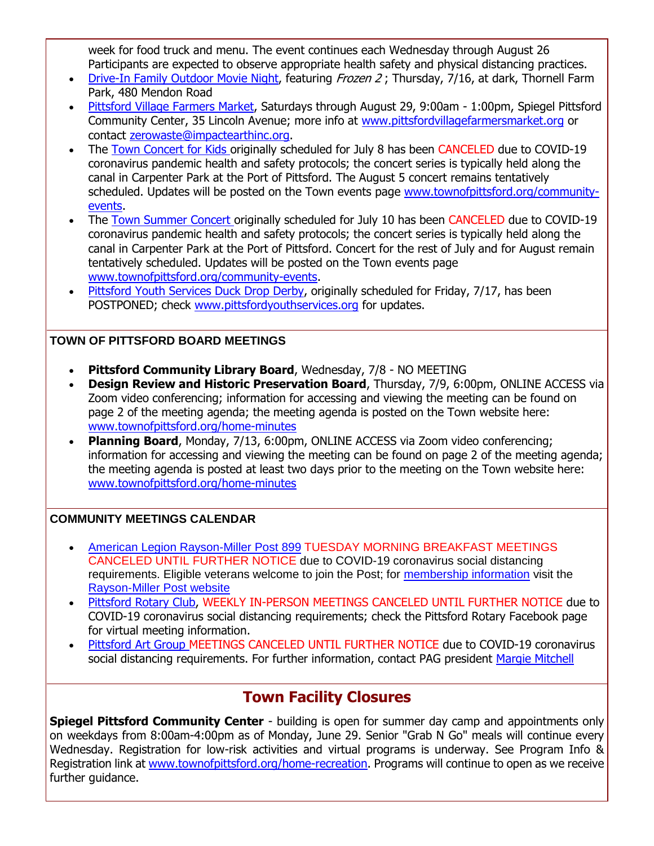week for food truck and menu. The event continues each Wednesday through August 26 Participants are expected to observe appropriate health safety and physical distancing practices.

- [Drive-In Family Outdoor Movie Night,](http://r20.rs6.net/tn.jsp?f=001Ujmyb5sOMg2FGHcWFeMV83xy0DiHNrfabpxU0w-cGW7xUhAmguhRk6jNEVp8NtmOoVukgVUfXnJCUVznORjpym4fo7mbH9fusKnEyvCFFFk95y4berJ3mt2sLpPt9LhDvsN2Xnt4ygKp3hnFOy1mIc5_498amklpZbD7eUQ46UL22IAdCwLslWqmR3tVukj8xnC6Zkb_X9hhW5tKwWWI211uBU7PtpE4YbAawNSs23LdZAiKJKK1bnyNk264k8Bk27LijKze75Mn3Bqwbd-lPhXAnVcWECpdqVpY4UB8xTN9EgiMcP_fDrEzL7am0E6pNUAbxaJZIAA=&c=y_U08mxmA3wN0r8YBN-z6yUSraBgdtKFlawO4Ui14HvSv7V6Yv2n-w==&ch=iVlI5nzKryrluPflpuEl7wwH1OXcJHKwEteVPfXQr4sbQycmtqhBFw==) featuring Frozen 2; Thursday, 7/16, at dark, Thornell Farm Park, 480 Mendon Road
- [Pittsford Village Farmers Market,](http://r20.rs6.net/tn.jsp?f=001Ujmyb5sOMg2FGHcWFeMV83xy0DiHNrfabpxU0w-cGW7xUhAmguhRk6PMSweJh0Tw5TuptnSQfhy9ac8N3Ll0NcwiC_8bYOoQ_4eGMonsCDDgE17EDCUKZL7_waZf56gfXv4Ks1q6bEGzBSerB-uLkVyrJGgjogRTAieYk1AZN33qgmcLqhVsmP_N_JT4JPG8mUdq_Li3vpc5L4jwTuuOCB5UD4DOC3nTOfJp7QnrAexSQpN_YSc7tL0bXqqh-KS2ndInYre_ePUPuA9GJ-qxN-JVRoW_Mkx_OJbrvVV5dIHY2MYFcw7mlX8Kgcs1vRDT&c=y_U08mxmA3wN0r8YBN-z6yUSraBgdtKFlawO4Ui14HvSv7V6Yv2n-w==&ch=iVlI5nzKryrluPflpuEl7wwH1OXcJHKwEteVPfXQr4sbQycmtqhBFw==) Saturdays through August 29, 9:00am 1:00pm, Spiegel Pittsford Community Center, 35 Lincoln Avenue; more info at [www.pittsfordvillagefarmersmarket.org](http://r20.rs6.net/tn.jsp?f=001Ujmyb5sOMg2FGHcWFeMV83xy0DiHNrfabpxU0w-cGW7xUhAmguhRk6PMSweJh0Tw5TuptnSQfhy9ac8N3Ll0NcwiC_8bYOoQ_4eGMonsCDDgE17EDCUKZL7_waZf56gfXv4Ks1q6bEGzBSerB-uLkVyrJGgjogRTAieYk1AZN33qgmcLqhVsmP_N_JT4JPG8mUdq_Li3vpc5L4jwTuuOCB5UD4DOC3nTOfJp7QnrAexSQpN_YSc7tL0bXqqh-KS2ndInYre_ePUPuA9GJ-qxN-JVRoW_Mkx_OJbrvVV5dIHY2MYFcw7mlX8Kgcs1vRDT&c=y_U08mxmA3wN0r8YBN-z6yUSraBgdtKFlawO4Ui14HvSv7V6Yv2n-w==&ch=iVlI5nzKryrluPflpuEl7wwH1OXcJHKwEteVPfXQr4sbQycmtqhBFw==) or contact [zerowaste@impactearthinc.org.](mailto:zerowaste@impactearthinc.org)
- The [Town Concert for Kids](http://r20.rs6.net/tn.jsp?f=001Ujmyb5sOMg2FGHcWFeMV83xy0DiHNrfabpxU0w-cGW7xUhAmguhRk-aj7CUqhnDmWLku0I98o8VF8tjuFZO-i2b3zP-gDErm8sYkpKg6gUwfyDqGGnwb8Qd_DNpbixGDuNLcfUX1qthZe32SOCrq0oOjMeJ9MkUVkKHD2zgpbyL6WTWLz_3ASG1FTFNrpzMGUGZNT-1Vkc0uOz04bjfvozR1gFgDNScCUfVPzKk_JowuFksmPDv5RLGOam3Yp-lfDLe6Nxs60xGffjtnLbdntJfLzbEfoOJ2sxC60EeJ9quYl0XHnPcyrw==&c=y_U08mxmA3wN0r8YBN-z6yUSraBgdtKFlawO4Ui14HvSv7V6Yv2n-w==&ch=iVlI5nzKryrluPflpuEl7wwH1OXcJHKwEteVPfXQr4sbQycmtqhBFw==) originally scheduled for July 8 has been CANCELED due to COVID-19 coronavirus pandemic health and safety protocols; the concert series is typically held along the canal in Carpenter Park at the Port of Pittsford. The August 5 concert remains tentatively scheduled. Updates will be posted on the Town events page [www.townofpittsford.org/community](http://r20.rs6.net/tn.jsp?f=001Ujmyb5sOMg2FGHcWFeMV83xy0DiHNrfabpxU0w-cGW7xUhAmguhRk5xOH-Zww2DMZtX5t22dGcy-B_VO2OGro9tOa4nU7Il6ZVpbgBPG3ByfBdw6Z5bd2CGruaTLU3V05vDnDX-Vi1NBI52_KGo1l90s8-dplGLDgZQ5m8AfJSU_Lz9qM_sIqSyy_lHITsZpBKjMmhIzDY-X_BEYlwgw9DdFErZHuVOxtsNaBiVQFhPNePnyCClLrSmRkurMcZWkFiBjyBL-UYeAJG103MHZ_Ubqm8kdejMdtzc6DyAJanP2ZOzNI1T3KYiK1r3DkWVV&c=y_U08mxmA3wN0r8YBN-z6yUSraBgdtKFlawO4Ui14HvSv7V6Yv2n-w==&ch=iVlI5nzKryrluPflpuEl7wwH1OXcJHKwEteVPfXQr4sbQycmtqhBFw==)[events.](http://r20.rs6.net/tn.jsp?f=001Ujmyb5sOMg2FGHcWFeMV83xy0DiHNrfabpxU0w-cGW7xUhAmguhRk5xOH-Zww2DMZtX5t22dGcy-B_VO2OGro9tOa4nU7Il6ZVpbgBPG3ByfBdw6Z5bd2CGruaTLU3V05vDnDX-Vi1NBI52_KGo1l90s8-dplGLDgZQ5m8AfJSU_Lz9qM_sIqSyy_lHITsZpBKjMmhIzDY-X_BEYlwgw9DdFErZHuVOxtsNaBiVQFhPNePnyCClLrSmRkurMcZWkFiBjyBL-UYeAJG103MHZ_Ubqm8kdejMdtzc6DyAJanP2ZOzNI1T3KYiK1r3DkWVV&c=y_U08mxmA3wN0r8YBN-z6yUSraBgdtKFlawO4Ui14HvSv7V6Yv2n-w==&ch=iVlI5nzKryrluPflpuEl7wwH1OXcJHKwEteVPfXQr4sbQycmtqhBFw==)
- The [Town Summer Concert o](http://r20.rs6.net/tn.jsp?f=001Ujmyb5sOMg2FGHcWFeMV83xy0DiHNrfabpxU0w-cGW7xUhAmguhRk6J9_lo9XAmWlmiKOP7y26jmPN-O73KiOQQtWvn9PpaCypAdNePhAURnxf9x4UYQ2nBRX_Jcg6Fz9ORkmYI1dp2chbO0QK7JuY0yGjYfJCrX2hp2mCkXqLeIJA_QrLq6d9z_QXThkGXPhzl829v0kNJUbV5bWPLdaoDAZPwvmivAO_lS9KiAa36Ndj2UEQxTq9tr3n4mAbqJNUOZYQGQAj8SIszxi-jP9y7D3anLtrgpQH_LvXBibX5DIOvdK6Cz6zHthMlGVMNu&c=y_U08mxmA3wN0r8YBN-z6yUSraBgdtKFlawO4Ui14HvSv7V6Yv2n-w==&ch=iVlI5nzKryrluPflpuEl7wwH1OXcJHKwEteVPfXQr4sbQycmtqhBFw==)riginally scheduled for July 10 has been CANCELED due to COVID-19 coronavirus pandemic health and safety protocols; the concert series is typically held along the canal in Carpenter Park at the Port of Pittsford. Concert for the rest of July and for August remain tentatively scheduled. Updates will be posted on the Town events page [www.townofpittsford.org/community-events.](http://r20.rs6.net/tn.jsp?f=001Ujmyb5sOMg2FGHcWFeMV83xy0DiHNrfabpxU0w-cGW7xUhAmguhRk5xOH-Zww2DMZtX5t22dGcy-B_VO2OGro9tOa4nU7Il6ZVpbgBPG3ByfBdw6Z5bd2CGruaTLU3V05vDnDX-Vi1NBI52_KGo1l90s8-dplGLDgZQ5m8AfJSU_Lz9qM_sIqSyy_lHITsZpBKjMmhIzDY-X_BEYlwgw9DdFErZHuVOxtsNaBiVQFhPNePnyCClLrSmRkurMcZWkFiBjyBL-UYeAJG103MHZ_Ubqm8kdejMdtzc6DyAJanP2ZOzNI1T3KYiK1r3DkWVV&c=y_U08mxmA3wN0r8YBN-z6yUSraBgdtKFlawO4Ui14HvSv7V6Yv2n-w==&ch=iVlI5nzKryrluPflpuEl7wwH1OXcJHKwEteVPfXQr4sbQycmtqhBFw==)
- [Pittsford Youth Services Duck Drop Derby,](http://r20.rs6.net/tn.jsp?f=001Ujmyb5sOMg2FGHcWFeMV83xy0DiHNrfabpxU0w-cGW7xUhAmguhRk924-xrGruPYRbDAXgOsRRc8H8U4yRWzsGJHqHSyp3QbUI2AC1F-fuHJYaSDpkp-xU3niZ5gOcZCSqCckBxH-EHDO1EABGc3H-FaWq_AjmuxD7zqiD2U31zOOEDo2oZAs5aAanELOleDRXFeZhLqulPk3KPA63OLhyfsM_BHQfXc6unra-toLC-XodDd_3FCokaSZ1wdllPE8bBmdERTRVVuCMJkfjWnGtLios7ZyXvETAQv5eLGFh5nVow_kM2IsA==&c=y_U08mxmA3wN0r8YBN-z6yUSraBgdtKFlawO4Ui14HvSv7V6Yv2n-w==&ch=iVlI5nzKryrluPflpuEl7wwH1OXcJHKwEteVPfXQr4sbQycmtqhBFw==) originally scheduled for Friday, 7/17, has been POSTPONED; check [www.pittsfordyouthservices.org](http://r20.rs6.net/tn.jsp?f=001Ujmyb5sOMg2FGHcWFeMV83xy0DiHNrfabpxU0w-cGW7xUhAmguhRk924-xrGruPYRbDAXgOsRRc8H8U4yRWzsGJHqHSyp3QbUI2AC1F-fuHJYaSDpkp-xU3niZ5gOcZCSqCckBxH-EHDO1EABGc3H-FaWq_AjmuxD7zqiD2U31zOOEDo2oZAs5aAanELOleDRXFeZhLqulPk3KPA63OLhyfsM_BHQfXc6unra-toLC-XodDd_3FCokaSZ1wdllPE8bBmdERTRVVuCMJkfjWnGtLios7ZyXvETAQv5eLGFh5nVow_kM2IsA==&c=y_U08mxmA3wN0r8YBN-z6yUSraBgdtKFlawO4Ui14HvSv7V6Yv2n-w==&ch=iVlI5nzKryrluPflpuEl7wwH1OXcJHKwEteVPfXQr4sbQycmtqhBFw==) for updates.

#### **TOWN OF PITTSFORD BOARD MEETINGS**

- **Pittsford Community Library Board**, Wednesday, 7/8 NO MEETING
- **Design Review and Historic Preservation Board**, Thursday, 7/9, 6:00pm, ONLINE ACCESS via Zoom video conferencing; information for accessing and viewing the meeting can be found on page 2 of the meeting agenda; the meeting agenda is posted on the Town website here: [www.townofpittsford.org/home-minutes](http://r20.rs6.net/tn.jsp?f=001Ujmyb5sOMg2FGHcWFeMV83xy0DiHNrfabpxU0w-cGW7xUhAmguhRk6hLhmuuEL9g33G5mhtwzT5KLK0RO8Jj1U_j0jRuIIz3DCK1hTWRT3wS-c6Id5xb3T7SRPnj7eqElFLu57jSYDWmd5vhHxlJJYhvrvjmyOz8HzxU58JwIj2uRazO-PIS9tQQJm6jEkYjMtZ6EtLQ13kAp2zFowKXTt2rPiRFdM5KkcF2AChcU8daQRZRI5X-Wk45p7nZxidRcHOw1eal4ghXjUsq_MoCrJXfq6FTvJq7RlnqVbZI2I2BI2bkFvMObw==&c=y_U08mxmA3wN0r8YBN-z6yUSraBgdtKFlawO4Ui14HvSv7V6Yv2n-w==&ch=iVlI5nzKryrluPflpuEl7wwH1OXcJHKwEteVPfXQr4sbQycmtqhBFw==)
- **Planning Board**, Monday, 7/13, 6:00pm, ONLINE ACCESS via Zoom video conferencing; information for accessing and viewing the meeting can be found on page 2 of the meeting agenda; the meeting agenda is posted at least two days prior to the meeting on the Town website here: [www.townofpittsford.org/home-minutes](http://r20.rs6.net/tn.jsp?f=001Ujmyb5sOMg2FGHcWFeMV83xy0DiHNrfabpxU0w-cGW7xUhAmguhRk6hLhmuuEL9g33G5mhtwzT5KLK0RO8Jj1U_j0jRuIIz3DCK1hTWRT3wS-c6Id5xb3T7SRPnj7eqElFLu57jSYDWmd5vhHxlJJYhvrvjmyOz8HzxU58JwIj2uRazO-PIS9tQQJm6jEkYjMtZ6EtLQ13kAp2zFowKXTt2rPiRFdM5KkcF2AChcU8daQRZRI5X-Wk45p7nZxidRcHOw1eal4ghXjUsq_MoCrJXfq6FTvJq7RlnqVbZI2I2BI2bkFvMObw==&c=y_U08mxmA3wN0r8YBN-z6yUSraBgdtKFlawO4Ui14HvSv7V6Yv2n-w==&ch=iVlI5nzKryrluPflpuEl7wwH1OXcJHKwEteVPfXQr4sbQycmtqhBFw==)

#### **COMMUNITY MEETINGS CALENDAR**

- [American Legion Rayson-Miller Post 899](http://r20.rs6.net/tn.jsp?f=001Ujmyb5sOMg2FGHcWFeMV83xy0DiHNrfabpxU0w-cGW7xUhAmguhRk9Gp1AfTpIToSdKFafQ007TEgj-bAN3ITh9HF5bD-te_fGnzx9TCAvPa1-m6BSi9PEalSSgserqCz_l5L49R9Xq-KzTrpHFSGbb4igHlYBAawT0U9v5oR4AAtjjND5-rbY1Bzvz4OdEd7OZRKAJBAEDSOzDCxh3cA3BMctXu3Hx-2WO4Ut9VLdntKzbaEDosHyemmizXBj6wkysm6Bgy3oRa5ymVEVGDloq4D75u_KtuDTFg3EkRGlg=&c=y_U08mxmA3wN0r8YBN-z6yUSraBgdtKFlawO4Ui14HvSv7V6Yv2n-w==&ch=iVlI5nzKryrluPflpuEl7wwH1OXcJHKwEteVPfXQr4sbQycmtqhBFw==) TUESDAY MORNING BREAKFAST MEETINGS CANCELED UNTIL FURTHER NOTICE due to COVID-19 coronavirus social distancing requirements. Eligible veterans welcome to join the Post; for [membership information](http://r20.rs6.net/tn.jsp?f=001Ujmyb5sOMg2FGHcWFeMV83xy0DiHNrfabpxU0w-cGW7xUhAmguhRk9Gp1AfTpITo6x2-Ie1mRp2_FRbUCJ9wJADqD6JjvlPaxStDJSfrtNPexhfQq0PgmlnWIdgemSgKI1HZ_b2f2jICwVOxUcMaKsAXkYD-cHLOsnE7pTFtl0qFGqLZAs6jdHoT_gR81yzTHv9efwCM_U_PC_QigQHA0pUxglkg0h9Uh2CUS2QfatYzD4-LqaHIalrAFV_FNB27iXQJpWIScXysTzLlmh9g8eyqRStFa4VLsccMRBjKel7vgTn13xDSmLPZjCmYD7G9o3EyeaiDcJM=&c=y_U08mxmA3wN0r8YBN-z6yUSraBgdtKFlawO4Ui14HvSv7V6Yv2n-w==&ch=iVlI5nzKryrluPflpuEl7wwH1OXcJHKwEteVPfXQr4sbQycmtqhBFw==) visit the [Rayson-Miller Post website](http://r20.rs6.net/tn.jsp?f=001Ujmyb5sOMg2FGHcWFeMV83xy0DiHNrfabpxU0w-cGW7xUhAmguhRk1Jk6EBis2uNM2IpUGKR4FobZLels5gYm8leSnbLTuLCR98iJml0iRyWy5tMk4EL3VoU-6w9AjF6NWgyVJ1_0rG_PJR_Vzq9thYEwwgEassALFyq0ZCHqbbD-z1AXiEdMaKE_BO4FqwKfzYM0BM4i6Wrq3I7ZSNag1Bre8O6jFNOH9U_Mu_-9CqgZ5NBsZWu9vKKfa7hFvpbQNjapM2CZufqk4cajLnfxLzjiuBobGloM1Rj4ZGUOdLfAIgNI3IXDywH2445lUAAwookWUicV7Xbf5CW0rrAiPEoW-0dJqK94XmBq74ESPbpPWEafihvolRqE8ZbOhOzmkXHmTL-4C4=&c=y_U08mxmA3wN0r8YBN-z6yUSraBgdtKFlawO4Ui14HvSv7V6Yv2n-w==&ch=iVlI5nzKryrluPflpuEl7wwH1OXcJHKwEteVPfXQr4sbQycmtqhBFw==)
- [Pittsford Rotary Club,](http://r20.rs6.net/tn.jsp?f=001Ujmyb5sOMg2FGHcWFeMV83xy0DiHNrfabpxU0w-cGW7xUhAmguhRk6hLhmuuEL9gbfd2IGCllwKOUydRHUck6unRytsOm8236gSSHooiyQCIwf-PHcxzLlhk17xCsBlSw8wWbx3fJrLM5upR-yQM-2Xa6TxjXAusW6b8eqWfy7iApY_plw6y3Zpzj5vT49wbt9gETHibD8uQ63E4MIA7CiH7ovu_OUESmgg5h6xXJyw1lrFpRJkXs1qqn_TtN6UNjootcNfsROqGmXzHFRTs2rLRsjYO9-fy2-pp5YRJ14A=&c=y_U08mxmA3wN0r8YBN-z6yUSraBgdtKFlawO4Ui14HvSv7V6Yv2n-w==&ch=iVlI5nzKryrluPflpuEl7wwH1OXcJHKwEteVPfXQr4sbQycmtqhBFw==) WEEKLY IN-PERSON MEETINGS CANCELED UNTIL FURTHER NOTICE due to COVID-19 coronavirus social distancing requirements; check the Pittsford Rotary Facebook page for virtual meeting information.
- [Pittsford Art Group M](https://pittsfordartgroup.wordpress.com/?utm_source=eNews+7-8-20&utm_campaign=eNews+07-08-20&utm_medium=email)EETINGS CANCELED UNTIL FURTHER NOTICE due to COVID-19 coronavirus social distancing requirements. For further information, contact PAG president [Margie Mitchell](mailto:mhsmitchell@gmail.com?subject=Pittsford%20Art%20Group%20Meetings%20and%20Membership)

#### **Town Facility Closures**

**Spiegel Pittsford Community Center** - building is open for summer day camp and appointments only on weekdays from 8:00am-4:00pm as of Monday, June 29. Senior "Grab N Go" meals will continue every Wednesday. Registration for low-risk activities and virtual programs is underway. See Program Info & Registration link at [www.townofpittsford.org/home-recreation.](http://r20.rs6.net/tn.jsp?f=001Ujmyb5sOMg2FGHcWFeMV83xy0DiHNrfabpxU0w-cGW7xUhAmguhRk4-pnNCaukF1d8DBGXHX3NkHDBAKItErICPllIRXOsqX-gKwGNHPS8UFI-S1_gXibF1q-fmi-87Qy-fXAztbGUs_6e9pfEfL5yMYXnMs_7-b0KYy9VPO7IHghMPqT_qOKjvCzyy_0iUaNwCS_h17bl1eVZPqneljV6lJNGyHDFKhfUDHOy8rAetTZVX-fa5kjge8GG4Cyrp7KOaUeXU67aVi_Lp5i5xn8KSPw2jT99cfjeEYb_jq8s2sOJYCHuyfNex2ESooy_Lp&c=y_U08mxmA3wN0r8YBN-z6yUSraBgdtKFlawO4Ui14HvSv7V6Yv2n-w==&ch=iVlI5nzKryrluPflpuEl7wwH1OXcJHKwEteVPfXQr4sbQycmtqhBFw==) Programs will continue to open as we receive further guidance.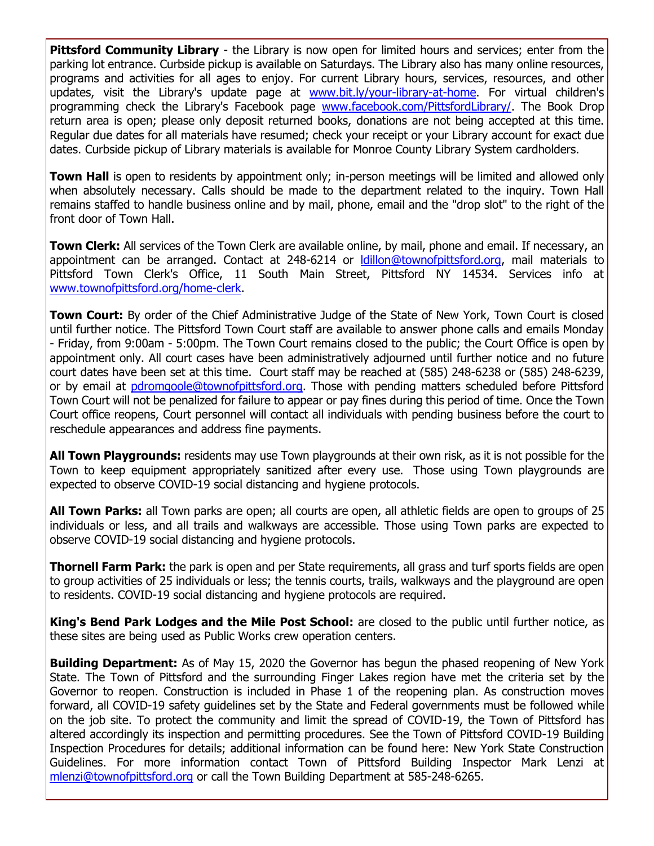**Pittsford Community Library** - the Library is now open for limited hours and services; enter from the parking lot entrance. Curbside pickup is available on Saturdays. The Library also has many online resources, programs and activities for all ages to enjoy. For current Library hours, services, resources, and other updates, visit the Library's update page at [www.bit.ly/your-library-at-home.](http://r20.rs6.net/tn.jsp?f=001Ujmyb5sOMg2FGHcWFeMV83xy0DiHNrfabpxU0w-cGW7xUhAmguhRk1fYQF4t3tF1tfPlnB-DQiS6BpG3A6ozOs3vaZD4FhQIS34beqfFXDsVvP9GKYNNyAmzUuQe_orcwW8486R8u6_3lT1fPwrB6DlukRmb7-lUDZjYfyHxJWwMHkZAXHdyuqjbL5zbUOPpVLNRd_W053flSDVan4krYiz2OkvAsAGdq4w5GOtSJY446zbHgJKFz4-gcK1rgoJGrEdUGOlyPHy7zJOYrFWJKCIJMq-KXTtk0g8Ifvb8wcj-YjbUdEShCg==&c=y_U08mxmA3wN0r8YBN-z6yUSraBgdtKFlawO4Ui14HvSv7V6Yv2n-w==&ch=iVlI5nzKryrluPflpuEl7wwH1OXcJHKwEteVPfXQr4sbQycmtqhBFw==) For virtual children's programming check the Library's Facebook page [www.facebook.com/PittsfordLibrary/.](http://r20.rs6.net/tn.jsp?f=001Ujmyb5sOMg2FGHcWFeMV83xy0DiHNrfabpxU0w-cGW7xUhAmguhRkxRDzoHohofIjht7SldEX6vO8lze8H1qZk5jQzknQW8DThKuGKcaMvw0IDPBbZkQRZLYcXrPI4_G9a1AIVv9epP7ZEvGSdWqpol8gSuhSVoqtp9map1gGRfj7GFsXwa9G99wuAxteFjpu530M_GRcQc=&c=y_U08mxmA3wN0r8YBN-z6yUSraBgdtKFlawO4Ui14HvSv7V6Yv2n-w==&ch=iVlI5nzKryrluPflpuEl7wwH1OXcJHKwEteVPfXQr4sbQycmtqhBFw==) The Book Drop return area is open; please only deposit returned books, donations are not being accepted at this time. Regular due dates for all materials have resumed; check your receipt or your Library account for exact due dates. Curbside pickup of Library materials is available for Monroe County Library System cardholders.

**Town Hall** is open to residents by appointment only; in-person meetings will be limited and allowed only when absolutely necessary. Calls should be made to the department related to the inquiry. Town Hall remains staffed to handle business online and by mail, phone, email and the "drop slot" to the right of the front door of Town Hall.

**Town Clerk:** All services of the Town Clerk are available online, by mail, phone and email. If necessary, an appointment can be arranged. Contact at 248-6214 or [ldillon@townofpittsford.org,](mailto:ldillon@townofpittsford.org) mail materials to Pittsford Town Clerk's Office, 11 South Main Street, Pittsford NY 14534. Services info at [www.townofpittsford.org/home-clerk.](http://r20.rs6.net/tn.jsp?f=001Ujmyb5sOMg2FGHcWFeMV83xy0DiHNrfabpxU0w-cGW7xUhAmguhRk7F-vkHugk12i8EmDr2fPcj3H6rWgRLZKBmvMR37uhemn0_4HwKLziWY6jyzxfGUU2lk2LfidYPGJTiGszi6L1l3-nHoSddFKhnU2G6j-g_0KcYbkFVna8n0JnkccbE9wA4vy6p284o59I2mVwp38czgRbHeUTH9RriZxOmozCUAW60as6CCxbnkTgUVUUKfp6EJbNk3py1lv6yhSqgoSjR6WEssyGWBNQu6NIisjEU1PfTZCkKmJVknD_TTI83Avw==&c=y_U08mxmA3wN0r8YBN-z6yUSraBgdtKFlawO4Ui14HvSv7V6Yv2n-w==&ch=iVlI5nzKryrluPflpuEl7wwH1OXcJHKwEteVPfXQr4sbQycmtqhBFw==)

**Town Court:** By order of the Chief Administrative Judge of the State of New York, Town Court is closed until further notice. The Pittsford Town Court staff are available to answer phone calls and emails Monday - Friday, from 9:00am - 5:00pm. The Town Court remains closed to the public; the Court Office is open by appointment only. All court cases have been administratively adjourned until further notice and no future court dates have been set at this time. Court staff may be reached at (585) 248-6238 or (585) 248-6239, or by email at [pdromgoole@townofpittsford.org.](mailto:pdromgoole@townofpittsford.org) Those with pending matters scheduled before Pittsford Town Court will not be penalized for failure to appear or pay fines during this period of time. Once the Town Court office reopens, Court personnel will contact all individuals with pending business before the court to reschedule appearances and address fine payments.

**All Town Playgrounds:** residents may use Town playgrounds at their own risk, as it is not possible for the Town to keep equipment appropriately sanitized after every use. Those using Town playgrounds are expected to observe COVID-19 social distancing and hygiene protocols.

**All Town Parks:** all Town parks are open; all courts are open, all athletic fields are open to groups of 25 individuals or less, and all trails and walkways are accessible. Those using Town parks are expected to observe COVID-19 social distancing and hygiene protocols.

**Thornell Farm Park:** the park is open and per State requirements, all grass and turf sports fields are open to group activities of 25 individuals or less; the tennis courts, trails, walkways and the playground are open to residents. COVID-19 social distancing and hygiene protocols are required.

**King's Bend Park Lodges and the Mile Post School:** are closed to the public until further notice, as these sites are being used as Public Works crew operation centers.

**Building Department:** As of May 15, 2020 the Governor has begun the phased reopening of New York State. The Town of Pittsford and the surrounding Finger Lakes region have met the criteria set by the Governor to reopen. Construction is included in Phase 1 of the reopening plan. As construction moves forward, all COVID-19 safety guidelines set by the State and Federal governments must be followed while on the job site. To protect the community and limit the spread of COVID-19, the Town of Pittsford has altered accordingly its inspection and permitting procedures. See the Town of Pittsford COVID-19 Building Inspection Procedures for details; additional information can be found here: New York State Construction Guidelines. For more information contact Town of Pittsford Building Inspector Mark Lenzi at [mlenzi@townofpittsford.org](mailto:mlenzi@townofpittsford.org?subject=COVID-19%20Construciton%20Information) or call the Town Building Department at 585-248-6265.